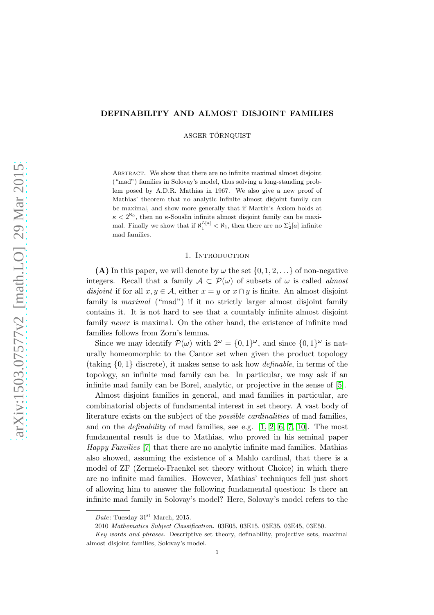# DEFINABILITY AND ALMOST DISJOINT FAMILIES

ASGER TÖRNQUIST

Abstract. We show that there are no infinite maximal almost disjoint ("mad") families in Solovay's model, thus solving a long-standing problem posed by A.D.R. Mathias in 1967. We also give a new proof of Mathias' theorem that no analytic infinite almost disjoint family can be maximal, and show more generally that if Martin's Axiom holds at  $\kappa < 2^{\aleph_0}$ , then no  $\kappa$ -Souslin infinite almost disjoint family can be maximal. Finally we show that if  $\aleph_1^{L[a]} < \aleph_1$ , then there are no  $\Sigma_2^1[a]$  infinite mad families.

### 1. INTRODUCTION

(A) In this paper, we will denote by  $\omega$  the set  $\{0, 1, 2, \ldots\}$  of non-negative integers. Recall that a family  $A \subset \mathcal{P}(\omega)$  of subsets of  $\omega$  is called *almost* disjoint if for all  $x, y \in A$ , either  $x = y$  or  $x \cap y$  is finite. An almost disjoint family is maximal ("mad") if it no strictly larger almost disjoint family contains it. It is not hard to see that a countably infinite almost disjoint family *never* is maximal. On the other hand, the existence of infinite mad families follows from Zorn's lemma.

Since we may identify  $\mathcal{P}(\omega)$  with  $2^{\omega} = \{0, 1\}^{\omega}$ , and since  $\{0, 1\}^{\omega}$  is naturally homeomorphic to the Cantor set when given the product topology (taking  $\{0, 1\}$  discrete), it makes sense to ask how *definable*, in terms of the topology, an infinite mad family can be. In particular, we may ask if an infinite mad family can be Borel, analytic, or projective in the sense of [\[5\]](#page-10-0).

Almost disjoint families in general, and mad families in particular, are combinatorial objects of fundamental interest in set theory. A vast body of literature exists on the subject of the possible cardinalities of mad families, and on the *definability* of mad families, see e.g.  $[1, 2, 6, 7, 10]$  $[1, 2, 6, 7, 10]$  $[1, 2, 6, 7, 10]$  $[1, 2, 6, 7, 10]$  $[1, 2, 6, 7, 10]$ . The most fundamental result is due to Mathias, who proved in his seminal paper Happy Families [\[7\]](#page-11-1) that there are no analytic infinite mad families. Mathias also showed, assuming the existence of a Mahlo cardinal, that there is a model of ZF (Zermelo-Fraenkel set theory without Choice) in which there are no infinite mad families. However, Mathias' techniques fell just short of allowing him to answer the following fundamental question: Is there an infinite mad family in Solovay's model? Here, Solovay's model refers to the

Date: Tuesday  $31<sup>st</sup>$  March, 2015.

<sup>2010</sup> Mathematics Subject Classification. 03E05, 03E15, 03E35, 03E45, 03E50.

Key words and phrases. Descriptive set theory, definability, projective sets, maximal almost disjoint families, Solovay's model.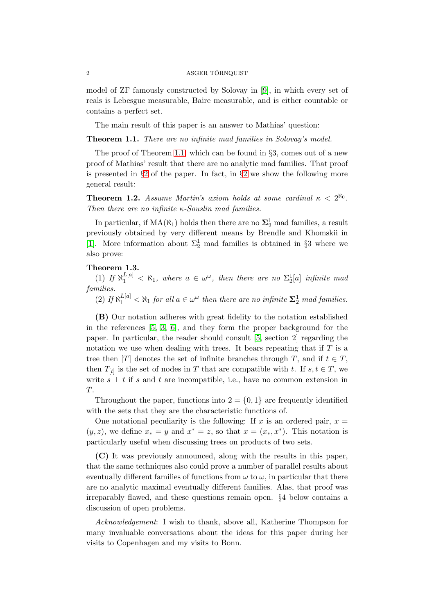model of ZF famously constructed by Solovay in [\[9\]](#page-11-3), in which every set of reals is Lebesgue measurable, Baire measurable, and is either countable or contains a perfect set.

The main result of this paper is an answer to Mathias' question:

<span id="page-1-0"></span>Theorem 1.1. There are no infinite mad families in Solovay's model.

The proof of Theorem [1.1,](#page-1-0) which can be found in §3, comes out of a new proof of Mathias' result that there are no analytic mad families. That proof is presented in  $\S 2$  $\S 2$  of the paper. In fact, in  $\S 2$  we show the following more general result:

**Theorem 1.2.** Assume Martin's axiom holds at some cardinal  $\kappa < 2^{\aleph_0}$ . Then there are no infinite  $\kappa$ -Souslin mad families.

In particular, if  $MA(N_1)$  holds then there are no  $\Sigma^1_2$  mad families, a result previously obtained by very different means by Brendle and Khomskii in [\[1\]](#page-10-1). More information about  $\Sigma_2^1$  mad families is obtained in §3 where we also prove:

<span id="page-1-1"></span>Theorem 1.3.

(1) If  $\aleph_1^{L[a]} < \aleph_1$ , where  $a \in \omega^\omega$ , then there are no  $\Sigma_2^1[a]$  infinite mad families.

(2) If  $\aleph_1^{\lfloor a \rfloor} < \aleph_1$  for all  $a \in \omega^\omega$  then there are no infinite  $\mathbf{\Sigma}_2^1$  mad families.

(B) Our notation adheres with great fidelity to the notation established in the references [\[5,](#page-10-0) [3,](#page-10-3) [6\]](#page-11-0), and they form the proper background for the paper. In particular, the reader should consult [\[5,](#page-10-0) section 2] regarding the notation we use when dealing with trees. It bears repeating that if  $T$  is a tree then [T] denotes the set of infinite branches through T, and if  $t \in T$ , then  $T_{[t]}$  is the set of nodes in T that are compatible with t. If  $s, t \in T$ , we write  $s \perp t$  if s and t are incompatible, i.e., have no common extension in T.

Throughout the paper, functions into  $2 = \{0, 1\}$  are frequently identified with the sets that they are the characteristic functions of.

One notational peculiarity is the following: If x is an ordered pair,  $x =$  $(y, z)$ , we define  $x_* = y$  and  $x^* = z$ , so that  $x = (x_*, x^*)$ . This notation is particularly useful when discussing trees on products of two sets.

(C) It was previously announced, along with the results in this paper, that the same techniques also could prove a number of parallel results about eventually different families of functions from  $\omega$  to  $\omega$ , in particular that there are no analytic maximal eventually different families. Alas, that proof was irreparably flawed, and these questions remain open. §4 below contains a discussion of open problems.

Acknowledgement: I wish to thank, above all, Katherine Thompson for many invaluable conversations about the ideas for this paper during her visits to Copenhagen and my visits to Bonn.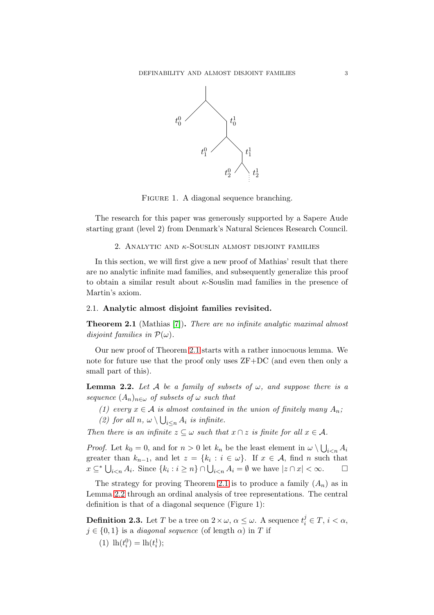

FIGURE 1. A diagonal sequence branching.

<span id="page-2-0"></span>The research for this paper was generously supported by a Sapere Aude starting grant (level 2) from Denmark's Natural Sciences Research Council.

2. ANALYTIC AND  $\kappa$ -SOUSLIN ALMOST DISJOINT FAMILIES

In this section, we will first give a new proof of Mathias' result that there are no analytic infinite mad families, and subsequently generalize this proof to obtain a similar result about  $\kappa$ -Souslin mad families in the presence of Martin's axiom.

# 2.1. Analytic almost disjoint families revisited.

<span id="page-2-1"></span>Theorem 2.1 (Mathias [\[7\]](#page-11-1)). There are no infinite analytic maximal almost disjoint families in  $\mathcal{P}(\omega)$ .

Our new proof of Theorem [2.1](#page-2-1) starts with a rather innocuous lemma. We note for future use that the proof only uses ZF+DC (and even then only a small part of this).

<span id="page-2-2"></span>**Lemma 2.2.** Let A be a family of subsets of  $\omega$ , and suppose there is a sequence  $(A_n)_{n\in\omega}$  of subsets of  $\omega$  such that

- (1) every  $x \in A$  is almost contained in the union of finitely many  $A_n$ ;
- (2) for all  $n, \omega \setminus \bigcup_{i \leq n} A_i$  is infinite.

Then there is an infinite  $z \subseteq \omega$  such that  $x \cap z$  is finite for all  $x \in A$ .

*Proof.* Let  $k_0 = 0$ , and for  $n > 0$  let  $k_n$  be the least element in  $\omega \setminus \bigcup_{i \leq n} A_i$ greater than  $k_{n-1}$ , and let  $z = \{k_i : i \in \omega\}$ . If  $x \in A$ , find n such that  $x \subseteq^* \bigcup_{i < n} A_i$ . Since  $\{k_i : i \geq n\} \cap \bigcup_{i < n} A_i = \emptyset$  we have  $|z \cap x| < \infty$ .  $\Box$ 

The strategy for proving Theorem [2.1](#page-2-1) is to produce a family  $(A_n)$  as in Lemma [2.2](#page-2-2) through an ordinal analysis of tree representations. The central definition is that of a diagonal sequence (Figure 1):

**Definition 2.3.** Let T be a tree on  $2 \times \omega$ ,  $\alpha \leq \omega$ . A sequence  $t_i^j \in T$ ,  $i < \alpha$ ,  $j \in \{0,1\}$  is a *diagonal sequence* (of length  $\alpha$ ) in T if

(1)  $\ln(t_i^0) = \ln(t_i^1);$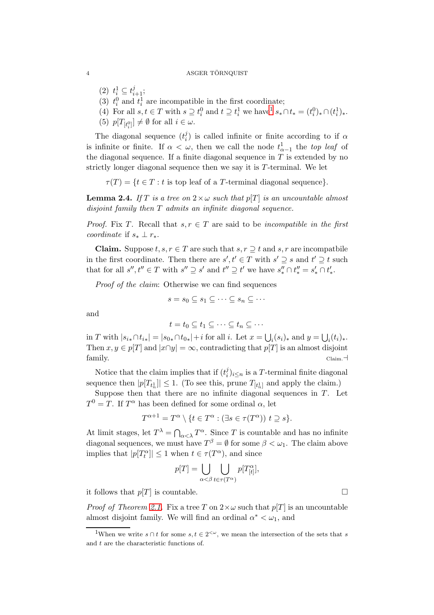- (2)  $t_i^1 \subseteq t_{i+1}^j$ ;
- (3)  $t_i^0$  and  $t_i^1$  are incompatible in the first coordinate;
- (4) For all  $s, t \in T$  with  $s \supseteq t_i^0$  and  $t \supseteq t_i^1$  $t \supseteq t_i^1$  we have  $s_* \cap t_* = (t_i^0)_* \cap (t_i^1)_*.$
- (5)  $p[T_{[t_i^0]}] \neq \emptyset$  for all  $i \in \omega$ .

The diagonal sequence  $(t_i^j)$  $\alpha_i^j$ ) is called infinite or finite according to if  $\alpha$ is infinite or finite. If  $\alpha < \omega$ , then we call the node  $t_{\alpha-1}^1$  the top leaf of the diagonal sequence. If a finite diagonal sequence in  $T$  is extended by no strictly longer diagonal sequence then we say it is T-terminal. We let

 $\tau(T) = \{t \in T : t \text{ is top leaf of a } T\text{-terminal diagonal sequence}\}.$ 

<span id="page-3-1"></span>**Lemma 2.4.** If T is a tree on  $2 \times \omega$  such that  $p[T]$  is an uncountable almost disjoint family then T admits an infinite diagonal sequence.

*Proof.* Fix T. Recall that  $s, r \in T$  are said to be incompatible in the first coordinate if  $s_* \perp r_*$ .

**Claim.** Suppose  $t, s, r \in T$  are such that  $s, r \supseteq t$  and  $s, r$  are incompatbile in the first coordinate. Then there are  $s', t' \in T$  with  $s' \supseteq s$  and  $t' \supseteq t$  such that for all  $s'', t'' \in T$  with  $s'' \supseteq s'$  and  $t'' \supseteq t'$  we have  $s''_* \cap t''_* = s'_* \cap t'_*$ .

Proof of the claim: Otherwise we can find sequences

$$
s = s_0 \subseteq s_1 \subseteq \cdots \subseteq s_n \subseteq \cdots
$$

and

$$
t = t_0 \subseteq t_1 \subseteq \cdots \subseteq t_n \subseteq \cdots
$$

in T with  $|s_{i*} \cap t_{i*}| = |s_{0*} \cap t_{0*}| + i$  for all i. Let  $x = \bigcup_i (s_i)_*$  and  $y = \bigcup_i (t_i)_*.$ Then  $x, y \in p[T]$  and  $|x \cap y| = \infty$ , contradicting that  $p[T]$  is an almost disjoint family. Claim.⊣

Notice that the claim implies that if  $(t_i^j)$  $i^j$ <sub>i</sub>)<sub>i $\leq$ n is a T-terminal finite diagonal</sub> sequence then  $|p[T_{t_n^1}]|\leq 1$ . (To see this, prune  $T_{[t_n^1]}$  and apply the claim.)

Suppose then that there are no infinite diagonal sequences in  $T$ . Let  $T^0 = T$ . If  $T^{\alpha}$  has been defined for some ordinal  $\alpha$ , let

$$
T^{\alpha+1} = T^{\alpha} \setminus \{ t \in T^{\alpha} : (\exists s \in \tau(T^{\alpha})) \ t \supseteq s \}.
$$

At limit stages, let  $T^{\lambda} = \bigcap_{\alpha < \lambda} T^{\alpha}$ . Since T is countable and has no infinite diagonal sequences, we must have  $T^{\beta} = \emptyset$  for some  $\beta < \omega_1$ . The claim above implies that  $|p[T_t^{\alpha}]| \leq 1$  when  $t \in \tau(T^{\alpha})$ , and since

$$
p[T] = \bigcup_{\alpha < \beta} \bigcup_{t \in \tau(T^{\alpha})} p[T^{\alpha}_{[t]}],
$$

it follows that  $p[T]$  is countable.

*Proof of Theorem [2.1.](#page-2-1)* Fix a tree T on  $2 \times \omega$  such that  $p[T]$  is an uncountable almost disjoint family. We will find an ordinal  $\alpha^* < \omega_1$ , and

<span id="page-3-0"></span><sup>&</sup>lt;sup>1</sup>When we write  $s \cap t$  for some  $s, t \in 2^{<\omega}$ , we mean the intersection of the sets that s and  $t$  are the characteristic functions of.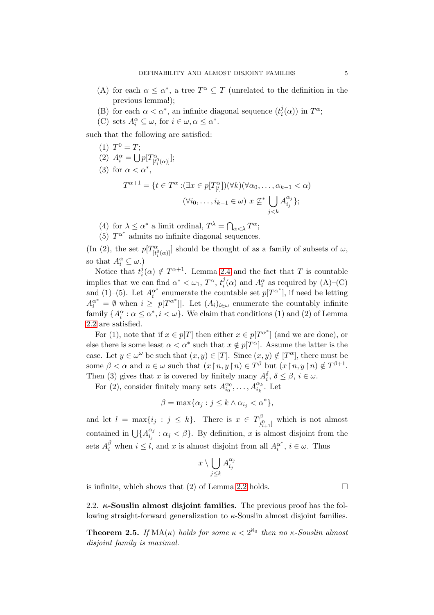- (A) for each  $\alpha \leq \alpha^*$ , a tree  $T^{\alpha} \subseteq T$  (unrelated to the definition in the previous lemma!);
- (B) for each  $\alpha < \alpha^*$ , an infinite diagonal sequence  $(t_i^j)$  $i^j(\alpha)$  in  $T^{\alpha}$ ;
- (C) sets  $A_i^{\alpha} \subseteq \omega$ , for  $i \in \omega, \alpha \leq \alpha^*$ .

such that the following are satisfied:

- (1)  $T^0 = T;$ (2)  $A_i^{\alpha} = \bigcup p[T_{[t]}^{\alpha}]$  $\frac{\alpha}{[t_i^0(\alpha)]};$ (3) for  $\alpha < \alpha^*$ ,  $T^{\alpha+1} = \{t \in T^{\alpha} : (\exists x \in p[T_{[t]}^{\alpha}]) (\forall k)(\forall \alpha_0, \ldots, \alpha_{k-1} < \alpha) \}$  $(\forall i_0,\ldots,i_{k-1}\in\omega)\ x \nsubseteq^* \Box$  $j$  $\lt$  $k$  $A_{i,j}^{\alpha_j}$  $_{i_{j}}^{\alpha _{j}}\};$
- (4) for  $\lambda \leq \alpha^*$  a limit ordinal,  $T^{\lambda} = \bigcap_{\alpha < \lambda} T^{\alpha}$ ;
- (5)  $T^{\alpha^*}$  admits no infinite diagonal sequences.

(In (2), the set  $p[T_{\mu}^{\alpha}]$  $\left[\begin{matrix} \n\alpha \\ t_i^0(\alpha) \n\end{matrix}\right]$  should be thought of as a family of subsets of  $\omega$ , so that  $A_i^{\alpha} \subseteq \omega$ .)

Notice that  $t_i^j$  $i(\alpha) \notin T^{\alpha+1}$ . Lemma [2.4](#page-3-1) and the fact that T is countable implies that we can find  $\alpha^* < \omega_1$ ,  $T^{\alpha}$ ,  $t_i^j$  $i(\alpha)$  and  $A_i^{\alpha}$  as required by  $(A)$ – $(C)$ and (1)–(5). Let  $A_i^{\alpha^*}$  $\alpha^*$  enumerate the countable set  $p[T^{\alpha^*}]$ , if need be letting  $A_i^{\alpha^*} = \emptyset$  when  $i \geq |p[T^{\alpha^*}]|$ . Let  $(A_i)_{i \in \omega}$  enumerate the countably infinite family  $\{A_i^{\alpha} : \alpha \leq \alpha^*, i < \omega\}$ . We claim that conditions (1) and (2) of Lemma [2.2](#page-2-2) are satisfied.

For (1), note that if  $x \in p[T]$  then either  $x \in p[T^{\alpha^*}]$  (and we are done), or else there is some least  $\alpha < \alpha^*$  such that  $x \notin p[T^{\alpha}]$ . Assume the latter is the case. Let  $y \in \omega^{\omega}$  be such that  $(x, y) \in [T]$ . Since  $(x, y) \notin [T^{\alpha}]$ , there must be some  $\beta < \alpha$  and  $n \in \omega$  such that  $(x \nvert n, y \nvert n) \in T^{\beta}$  but  $(x \nvert n, y \nvert n) \notin T^{\beta+1}$ . Then (3) gives that x is covered by finitely many  $A_i^{\delta}$ ,  $\delta \leq \beta$ ,  $i \in \omega$ .

For (2), consider finitely many sets  $A_{i_0}^{\alpha_0}$  $a_0^{\alpha_0}, \ldots, A_{i_k}^{\alpha_k}$ . Let

$$
\beta = \max\{\alpha_j : j \le k \wedge \alpha_{i_j} < \alpha^*\},\
$$

and let  $l = \max\{i_j : j \leq k\}$ . There is  $x \in T_{\mu}^{\beta}$  $[t_{l+1}^0]$  which is not almost contained in  $\bigcup \{A_{i,j}^{\alpha_j}\}$  $\begin{cases} \alpha_j \\ \alpha_j \end{cases}$ :  $\alpha_j < \beta$ . By definition, x is almost disjoint from the sets  $A_i^{\beta}$  when  $i \leq l$ , and x is almost disjoint from all  $A_i^{\alpha^*}$  $i \in \omega$ . Thus

$$
x\setminus \bigcup_{j\leq k} A_{i_j}^{\alpha_j}
$$

is infinite, which shows that (2) of Lemma [2.2](#page-2-2) holds.  $\square$ 

2.2.  $\kappa$ -Souslin almost disjoint families. The previous proof has the following straight-forward generalization to  $\kappa$ -Souslin almost disjoint families.

<span id="page-4-0"></span>**Theorem 2.5.** If  $MA(\kappa)$  holds for some  $\kappa < 2^{\aleph_0}$  then no  $\kappa$ -Souslin almost disjoint family is maximal.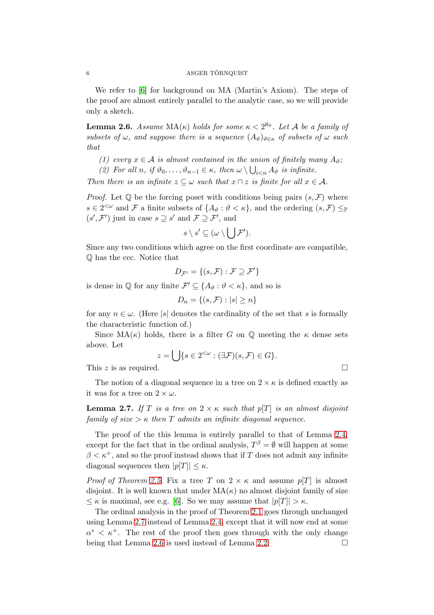We refer to [\[6\]](#page-11-0) for background on MA (Martin's Axiom). The steps of the proof are almost entirely parallel to the analytic case, so we will provide only a sketch.

<span id="page-5-1"></span>**Lemma 2.6.** Assume  $MA(\kappa)$  holds for some  $\kappa < 2^{\aleph_0}$ . Let A be a family of subsets of  $\omega$ , and suppose there is a sequence  $(A_{\vartheta})_{\vartheta \in \kappa}$  of subsets of  $\omega$  such that

- (1) every  $x \in A$  is almost contained in the union of finitely many  $A_{\vartheta}$ ;
- (2) For all n, if  $\vartheta_0, \ldots, \vartheta_{n-1} \in \kappa$ , then  $\omega \setminus \bigcup_{i \leq n} A_{\vartheta}$  is infinite.

Then there is an infinite  $z \subseteq \omega$  such that  $x \cap z$  is finite for all  $x \in A$ .

*Proof.* Let  $\mathbb Q$  be the forcing poset with conditions being pairs  $(s, \mathcal{F})$  where  $s \in 2^{<\omega}$  and F a finite subsets of  $\{A_{\vartheta} : \vartheta < \kappa\}$ , and the ordering  $(s, \mathcal{F}) \leq_{\mathbb{P}}$  $(s', \mathcal{F}')$  just in case  $s \supseteq s'$  and  $\mathcal{F} \supseteq \mathcal{F}'$ , and

$$
s \setminus s' \subseteq (\omega \setminus \bigcup \mathcal{F}').
$$

Since any two conditions which agree on the first coordinate are compatible, Q has the ccc. Notice that

$$
D_{\mathcal{F}'} = \{(s, \mathcal{F}) : \mathcal{F} \supseteq \mathcal{F}'\}
$$

is dense in  $\mathbb Q$  for any finite  $\mathcal{F}' \subseteq \{A_{\vartheta} : \vartheta < \kappa\}$ , and so is

 $D_n = \{(s, \mathcal{F}) : |s| \geq n\}$ 

for any  $n \in \omega$ . (Here |s| denotes the cardinality of the set that s is formally the characteristic function of.)

Since  $MA(\kappa)$  holds, there is a filter G on Q meeting the  $\kappa$  dense sets above. Let

$$
z = \bigcup \{ s \in 2^{<\omega} : (\exists \mathcal{F})(s, \mathcal{F}) \in G \}.
$$

This z is as required.

The notion of a diagonal sequence in a tree on  $2 \times \kappa$  is defined exactly as it was for a tree on  $2 \times \omega$ .

<span id="page-5-0"></span>**Lemma 2.7.** If T is a tree on  $2 \times \kappa$  such that  $p[T]$  is an almost disjoint family of size  $>\kappa$  then T admits an infinite diagonal sequence.

The proof of the this lemma is entirely parallel to that of Lemma [2.4,](#page-3-1) except for the fact that in the ordinal analysis,  $T^{\beta} = \emptyset$  will happen at some  $\beta < \kappa^+$ , and so the proof instead shows that if T does not admit any infinite diagonal sequences then  $|p|T| \leq \kappa$ .

*Proof of Theorem [2.5.](#page-4-0)* Fix a tree T on  $2 \times \kappa$  and assume  $p[T]$  is almost disjoint. It is well known that under  $MA(\kappa)$  no almost disjoint family of size  $\leq \kappa$  is maximal, see e.g. [\[6\]](#page-11-0). So we may assume that  $|p| \geq \kappa$ .

The ordinal analysis in the proof of Theorem [2.1](#page-2-1) goes through unchanged using Lemma [2.7](#page-5-0) instead of Lemma [2.4,](#page-3-1) except that it will now end at some  $\alpha^* < \kappa^+$ . The rest of the proof then goes through with the only change being that Lemma [2.6](#page-5-1) is used instead of Lemma [2.2.](#page-2-2)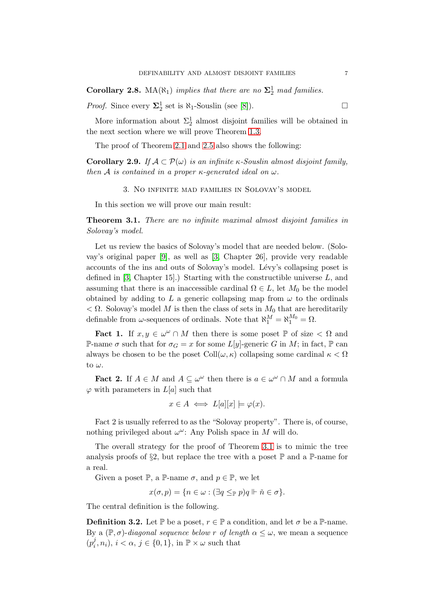**Corollary 2.8.** MA( $\aleph_1$ ) implies that there are no  $\Sigma_2^1$  mad families.

*Proof.* Since every  $\Sigma_2^1$  set is  $\aleph_1$ -Souslin (see [\[8\]](#page-11-4)).

More information about  $\Sigma_2^1$  almost disjoint families will be obtained in the next section where we will prove Theorem [1.3.](#page-1-1)

The proof of Theorem [2.1](#page-2-1) and [2.5](#page-4-0) also shows the following:

**Corollary 2.9.** If  $A \subset \mathcal{P}(\omega)$  is an infinite  $\kappa$ -Souslin almost disjoint family, then A is contained in a proper  $\kappa$ -generated ideal on  $\omega$ .

3. No infinite mad families in Solovay's model

In this section we will prove our main result:

<span id="page-6-0"></span>Theorem 3.1. There are no infinite maximal almost disjoint families in Solovay's model.

Let us review the basics of Solovay's model that are needed below. (Solovay's original paper [\[9\]](#page-11-3), as well as [\[3,](#page-10-3) Chapter 26], provide very readable accounts of the ins and outs of Solovay's model. Lévy's collapsing poset is defined in  $[3, Chapter 15]$ .) Starting with the constructible universe L, and assuming that there is an inaccessible cardinal  $\Omega \in L$ , let  $M_0$  be the model obtained by adding to L a generic collapsing map from  $\omega$  to the ordinals  $< \Omega$ . Solovay's model M is then the class of sets in  $M_0$  that are hereditarily definable from  $\omega$ -sequences of ordinals. Note that  $\aleph_1^M = \aleph_1^{M_0} = \Omega$ .

**Fact 1.** If  $x, y \in \omega^{\omega} \cap M$  then there is some poset  $\mathbb{P}$  of size  $\langle \Omega \rangle$  and P-name  $\sigma$  such that for  $\sigma_G = x$  for some L[y]-generic G in M; in fact, P can always be chosen to be the poset  $Coll(\omega, \kappa)$  collapsing some cardinal  $\kappa < \Omega$ to  $\omega$ .

**Fact 2.** If  $A \in M$  and  $A \subseteq \omega^{\omega}$  then there is  $a \in \omega^{\omega} \cap M$  and a formula  $\varphi$  with parameters in  $L[a]$  such that

$$
x \in A \iff L[a][x] \models \varphi(x).
$$

Fact 2 is usually referred to as the "Solovay property". There is, of course, nothing privileged about  $\omega^{\omega}$ : Any Polish space in M will do.

The overall strategy for the proof of Theorem [3.1](#page-6-0) is to mimic the tree analysis proofs of §2, but replace the tree with a poset  $\mathbb P$  and a  $\mathbb P$ -name for a real.

Given a poset  $\mathbb{P}$ , a  $\mathbb{P}\text{-name }\sigma$ , and  $p \in \mathbb{P}$ , we let

$$
x(\sigma, p) = \{ n \in \omega : (\exists q \leq_{\mathbb{P}} p) q \Vdash \check{n} \in \sigma \}.
$$

The central definition is the following.

**Definition 3.2.** Let  $\mathbb{P}$  be a poset,  $r \in \mathbb{P}$  a condition, and let  $\sigma$  be a  $\mathbb{P}$ -name. By a  $(\mathbb{P}, \sigma)$ -diagonal sequence below r of length  $\alpha \leq \omega$ , we mean a sequence  $(p_i^j)$  $(i, n_i), i < \alpha, j \in \{0, 1\}, \text{ in } \mathbb{P} \times \omega \text{ such that}$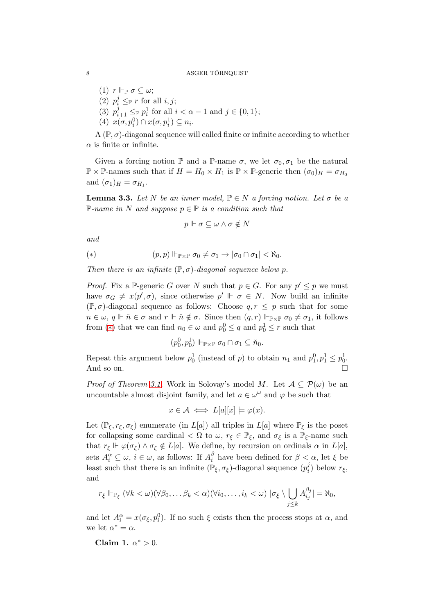(1)  $r \Vdash_{\mathbb{P}} \sigma \subseteq \omega;$ (2)  $p_i^j \leq_{\mathbb{P}} r$  for all  $i, j$ ; (3)  $p_{i+1}^j \leq_{\mathbb{P}} p_i^1$  for all  $i < \alpha - 1$  and  $j \in \{0, 1\};$ 

(4)  $x(\sigma, p_i^0) \cap x(\sigma, p_i^1) \subseteq n_i$ .

A  $(\mathbb{P}, \sigma)$ -diagonal sequence will called finite or infinite according to whether  $\alpha$  is finite or infinite.

Given a forcing notion  $\mathbb P$  and a  $\mathbb P$ -name  $\sigma$ , we let  $\sigma_0, \sigma_1$  be the natural  $\mathbb{P} \times \mathbb{P}$ -names such that if  $H = H_0 \times H_1$  is  $\mathbb{P} \times \mathbb{P}$ -generic then  $(\sigma_0)_H = \sigma_{H_0}$ and  $(\sigma_1)_H = \sigma_{H_1}$ .

<span id="page-7-1"></span>**Lemma 3.3.** Let N be an inner model,  $\mathbb{P} \in N$  a forcing notion. Let  $\sigma$  be a P-name in N and suppose  $p \in \mathbb{P}$  is a condition such that

$$
p \Vdash \sigma \subseteq \omega \wedge \sigma \notin N
$$

and

<span id="page-7-0"></span>
$$
(*) \qquad (p,p) \Vdash_{\mathbb{P} \times \mathbb{P}} \sigma_0 \neq \sigma_1 \to |\sigma_0 \cap \sigma_1| < \aleph_0.
$$

Then there is an infinite  $(\mathbb{P}, \sigma)$ -diagonal sequence below p.

*Proof.* Fix a P-generic G over N such that  $p \in G$ . For any  $p' \leq p$  we must have  $\sigma_G \neq x(p', \sigma)$ , since otherwise  $p' \Vdash \sigma \in N$ . Now build an infinite  $(\mathbb{P}, \sigma)$ -diagonal sequence as follows: Choose  $q, r \leq p$  such that for some  $n \in \omega, q \Vdash \check{n} \in \sigma$  and  $r \Vdash \check{n} \notin \sigma$ . Since then  $(q, r) \Vdash_{\mathbb{P} \times \mathbb{P}} \sigma_0 \neq \sigma_1$ , it follows from (\*) that we can find  $n_0 \in \omega$  and  $p_0^0 \leq q$  and  $p_0^1 \leq r$  such that

$$
(p_0^0, p_0^1) \Vdash_{\mathbb{P} \times \mathbb{P}} \sigma_0 \cap \sigma_1 \subseteq \check{n}_0.
$$

Repeat this argument below  $p_0^1$  (instead of p) to obtain  $n_1$  and  $p_1^0, p_1^1 \leq p_0^1$ . And so on.

*Proof of Theorem [3.1.](#page-6-0)* Work in Solovay's model M. Let  $A \subseteq \mathcal{P}(\omega)$  be an uncountable almost disjoint family, and let  $a \in \omega^{\omega}$  and  $\varphi$  be such that

$$
x \in \mathcal{A} \iff L[a][x] \models \varphi(x).
$$

Let  $(\mathbb{P}_{\xi}, r_{\xi}, \sigma_{\xi})$  enumerate (in  $L[a]$ ) all triples in  $L[a]$  where  $\mathbb{P}_{\xi}$  is the poset for collapsing some cardinal  $\langle \Omega \rangle$  to  $\omega$ ,  $r_{\xi} \in \mathbb{P}_{\xi}$ , and  $\sigma_{\xi}$  is a  $\mathbb{P}_{\xi}$ -name such that  $r_{\xi} \Vdash \varphi(\sigma_{\xi}) \wedge \sigma_{\xi} \notin L[a]$ . We define, by recursion on ordinals  $\alpha$  in  $L[a]$ , sets  $A_i^{\alpha} \subseteq \omega$ ,  $i \in \omega$ , as follows: If  $A_i^{\beta}$  $\frac{\beta}{i}$  have been defined for  $\beta < \alpha$ , let  $\xi$  be least such that there is an infinite  $(\mathbb{P}_{\xi}, \sigma_{\xi})$ -diagonal sequence  $(p_i^j)$  $i^j$ ) below  $r_{\xi}$ , and

$$
r_{\xi} \Vdash_{\mathbb{P}_{\xi}} (\forall k < \omega)(\forall \beta_0, \ldots \beta_k < \alpha)(\forall i_0, \ldots, i_k < \omega) \mid \sigma_{\xi} \setminus \bigcup_{j \leq k} A_{i_j}^{\beta_j} = \aleph_0,
$$

and let  $A_i^{\alpha} = x(\sigma_{\xi}, p_i^0)$ . If no such  $\xi$  exists then the process stops at  $\alpha$ , and we let  $\alpha^* = \alpha$ .

Claim 1.  $\alpha^* > 0$ .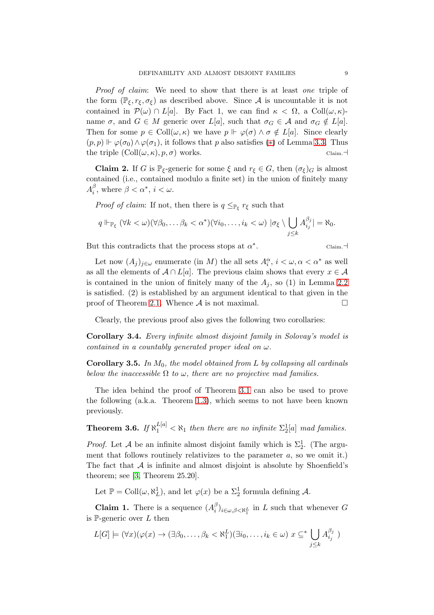Proof of claim: We need to show that there is at least one triple of the form  $(\mathbb{P}_{\xi}, r_{\xi}, \sigma_{\xi})$  as described above. Since A is uncountable it is not contained in  $\mathcal{P}(\omega) \cap L[a]$ . By Fact 1, we can find  $\kappa < \Omega$ , a Coll $(\omega, \kappa)$ name  $\sigma$ , and  $G \in M$  generic over  $L[a]$ , such that  $\sigma_G \in \mathcal{A}$  and  $\sigma_G \notin L[a]$ . Then for some  $p \in \text{Coll}(\omega, \kappa)$  we have  $p \Vdash \varphi(\sigma) \wedge \sigma \notin L[a]$ . Since clearly  $(p, p) \Vdash \varphi(\sigma_0) \wedge \varphi(\sigma_1)$ , it follows that p also satisfies (\*) of Lemma [3.3.](#page-7-1) Thus the triple  $(Coll(\omega, \kappa), p, \sigma)$  works. Claim. $\exists$ 

**Claim 2.** If G is  $\mathbb{P}_{\xi}$ -generic for some  $\xi$  and  $r_{\xi} \in G$ , then  $(\sigma_{\xi})_G$  is almost contained (i.e., contained modulo a finite set) in the union of finitely many  $A_i^{\beta}$  $\beta$ , where  $\beta < \alpha^*$ ,  $i < \omega$ .

*Proof of claim:* If not, then there is  $q \leq_{\mathbb{P}_{\xi}} r_{\xi}$  such that

$$
q \Vdash_{\mathbb{P}_{\xi}} (\forall k < \omega)(\forall \beta_0, \ldots \beta_k < \alpha^*)(\forall i_0, \ldots, i_k < \omega) \mid \sigma_{\xi} \setminus \bigcup_{j \leq k} A_{i_j}^{\beta_j} \mid = \aleph_0.
$$

But this contradicts that the process stops at  $\alpha^*$ 

$$
\qquad \qquad \text{Claim.} \neg
$$

Let now  $(A_j)_{j\in\omega}$  enumerate (in M) the all sets  $A_i^{\alpha}, i < \omega, \alpha < \alpha^*$  as well as all the elements of  $A \cap L[a]$ . The previous claim shows that every  $x \in A$ is contained in the union of finitely many of the  $A_i$ , so (1) in Lemma [2.2](#page-2-2) is satisfied. (2) is established by an argument identical to that given in the proof of Theorem [2.1.](#page-2-1) Whence  $A$  is not maximal.

Clearly, the previous proof also gives the following two corollaries:

Corollary 3.4. Every infinite almost disjoint family in Solovay's model is contained in a countably generated proper ideal on  $\omega$ .

**Corollary 3.5.** In  $M_0$ , the model obtained from L by collapsing all cardinals below the inaccessible  $\Omega$  to  $\omega$ , there are no projective mad families.

The idea behind the proof of Theorem [3.1](#page-6-0) can also be used to prove the following (a.k.a. Theorem [1.3\)](#page-1-1), which seems to not have been known previously.

**Theorem 3.6.** If  $\aleph_1^{L[a]} < \aleph_1$  then there are no infinite  $\Sigma_2^1[a]$  mad families.

*Proof.* Let A be an infinite almost disjoint family which is  $\Sigma_2^1$ . (The argument that follows routinely relativizes to the parameter  $a$ , so we omit it.) The fact that  $A$  is infinite and almost disjoint is absolute by Shoenfield's theorem; see [\[3,](#page-10-3) Theorem 25.20].

Let  $\mathbb{P} = \text{Coll}(\omega, \aleph_L^1)$ , and let  $\varphi(x)$  be a  $\Sigma_2^1$  formula defining A.

**Claim 1.** There is a sequence  $(A_i^{\beta})$  $\binom{p}{i}_{i\in\omega,\beta<\aleph_1^L}$  in L such that whenever G is P-generic over  $L$  then

$$
L[G] \models (\forall x)(\varphi(x) \to (\exists \beta_0, \dots, \beta_k < \aleph_1^L)(\exists i_0, \dots, i_k \in \omega) \ x \subseteq^* \bigcup_{j \leq k} A_{i_j}^{\beta_j} \ )
$$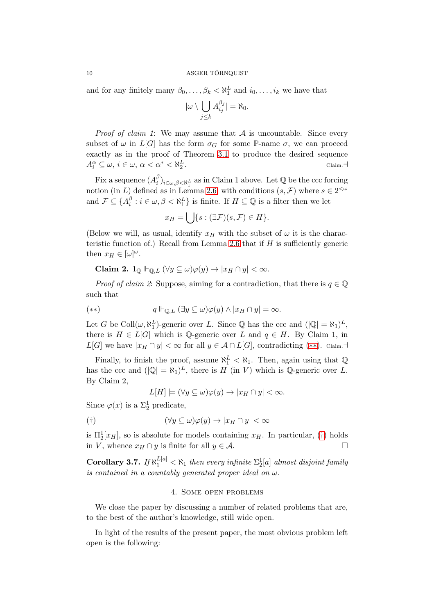and for any finitely many  $\beta_0, \ldots, \beta_k < \aleph_1^L$  and  $i_0, \ldots, i_k$  we have that

$$
|\omega \setminus \bigcup_{j \leq k} A_{i_j}^{\beta_j}| = \aleph_0.
$$

*Proof of claim 1*: We may assume that  $A$  is uncountable. Since every subset of  $\omega$  in  $L[G]$  has the form  $\sigma_G$  for some P-name  $\sigma$ , we can proceed exactly as in the proof of Theorem [3.1](#page-6-0) to produce the desired sequence  $A_i^{\alpha} \subseteq \omega, i \in \omega, \alpha < \alpha^* < \aleph_2^L$ . Claim.⊣

Fix a sequence  $(A_i^{\beta})$  $\binom{p}{i}_{i\in\omega,\beta<\aleph_1^L}$  as in Claim 1 above. Let Q be the ccc forcing notion (in L) defined as in Lemma [2.6,](#page-5-1) with conditions  $(s, \mathcal{F})$  where  $s \in 2^{<\omega}$ and  $\mathcal{F} \subseteq \{A_i^{\beta}$  $i_{i}^{\beta}: i \in \omega, \beta < \aleph_1^L$  is finite. If  $H \subseteq \mathbb{Q}$  is a filter then we let

$$
x_H = \bigcup \{ s : (\exists \mathcal{F})(s, \mathcal{F}) \in H \}.
$$

(Below we will, as usual, identify  $x_H$  with the subset of  $\omega$  it is the charac-teristic function of.) Recall from Lemma [2.6](#page-5-1) that if  $H$  is sufficiently generic then  $x_H \in [\omega]^\omega$ .

$$
\textbf{Claim 2. } 1_{\mathbb{Q}} \Vdash_{\mathbb{Q},L} (\forall y \subseteq \omega) \varphi(y) \to |x_H \cap y| < \infty.
$$

*Proof of claim 2*: Suppose, aiming for a contradiction, that there is  $q \in \mathbb{Q}$ such that

<span id="page-9-0"></span>
$$
(*) \t q \Vdash_{\mathbb{Q},L} (\exists y \subseteq \omega) \varphi(y) \wedge |x_H \cap y| = \infty.
$$

Let G be Coll $(\omega, \aleph_1^L)$ -generic over L. Since Q has the ccc and  $(|\mathbb{Q}| = \aleph_1)^L$ , there is  $H \in L[G]$  which is Q-generic over L and  $q \in H$ . By Claim 1, in  $L[G]$  we have  $|x_H \cap y| < \infty$  for all  $y \in A \cap L[G]$ , contradicting  $(**)$ . Claim. $\neg$ 

Finally, to finish the proof, assume  $\aleph_1^L < \aleph_1$ . Then, again using that  $\mathbb{Q}$ has the ccc and  $(|\mathbb{Q}| = \aleph_1)^L$ , there is H (in V) which is  $\mathbb{Q}$ -generic over L. By Claim 2,

$$
L[H] \models (\forall y \subseteq \omega) \varphi(y) \rightarrow |x_H \cap y| < \infty.
$$

Since  $\varphi(x)$  is a  $\Sigma_2^1$  predicate,

<span id="page-9-1"></span>
$$
(\dagger)\qquad \qquad (\forall y \subseteq \omega)\varphi(y) \to |x_H \cap y| < \infty
$$

is  $\Pi_2^1[x_H]$ , so is absolute for models containing  $x_H$ . In particular, ([†](#page-9-1)) holds in V, whence  $x_H \cap y$  is finite for all  $y \in \mathcal{A}$ .  $\Box$ 

Corollary 3.7. If  $\aleph_1^{\lfloor a \rfloor} < \aleph_1$  then every infinite  $\Sigma_2^1[a]$  almost disjoint family is contained in a countably generated proper ideal on  $\omega$ .

# 4. Some open problems

We close the paper by discussing a number of related problems that are, to the best of the author's knowledge, still wide open.

In light of the results of the present paper, the most obvious problem left open is the following: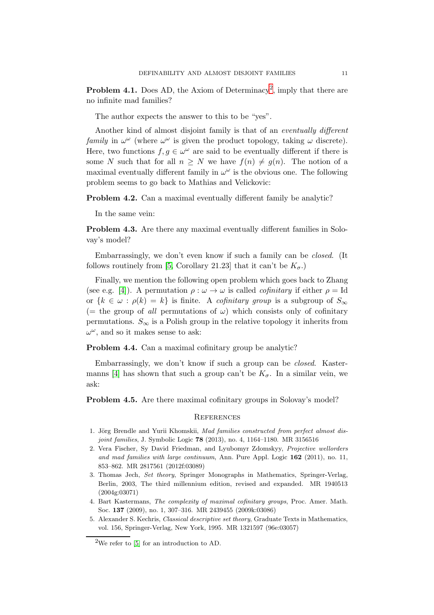**Problem 4.1.** Does AD, the Axiom of Determinacy<sup>[2](#page-10-4)</sup>, imply that there are no infinite mad families?

The author expects the answer to this to be "yes".

Another kind of almost disjoint family is that of an eventually different family in  $\omega^{\omega}$  (where  $\omega^{\omega}$  is given the product topology, taking  $\omega$  discrete). Here, two functions  $f, g \in \omega^{\omega}$  are said to be eventually different if there is some N such that for all  $n \geq N$  we have  $f(n) \neq g(n)$ . The notion of a maximal eventually different family in  $\omega^{\omega}$  is the obvious one. The following problem seems to go back to Mathias and Velickovic:

Problem 4.2. Can a maximal eventually different family be analytic?

In the same vein:

Problem 4.3. Are there any maximal eventually different families in Solovay's model?

Embarrassingly, we don't even know if such a family can be closed. (It follows routinely from [\[5,](#page-10-0) Corollary 21.23] that it can't be  $K_{\sigma}$ .)

Finally, we mention the following open problem which goes back to Zhang (see e.g. [\[4\]](#page-10-5)). A permutation  $\rho : \omega \to \omega$  is called *cofinitary* if either  $\rho = Id$ or  ${k \in \omega : \rho(k) = k}$  is finite. A *cofinitary group* is a subgroup of  $S_{\infty}$ (= the group of all permutations of  $\omega$ ) which consists only of cofinitary permutations.  $S_{\infty}$  is a Polish group in the relative topology it inherits from  $\omega^{\omega}$ , and so it makes sense to ask:

Problem 4.4. Can a maximal cofinitary group be analytic?

Embarrassingly, we don't know if such a group can be closed. Kaster-manns [\[4\]](#page-10-5) has shown that such a group can't be  $K_{\sigma}$ . In a similar vein, we ask:

Problem 4.5. Are there maximal cofinitary groups in Solovay's model?

### **REFERENCES**

- <span id="page-10-1"></span>1. Jörg Brendle and Yurii Khomskii, Mad families constructed from perfect almost disjoint families, J. Symbolic Logic **78** (2013), no. 4, 1164-1180. MR 3156516
- <span id="page-10-2"></span>2. Vera Fischer, Sy David Friedman, and Lyubomyr Zdomskyy, Projective wellorders and mad families with large continuum, Ann. Pure Appl. Logic 162 (2011), no. 11, 853–862. MR 2817561 (2012f:03089)
- <span id="page-10-3"></span>3. Thomas Jech, Set theory, Springer Monographs in Mathematics, Springer-Verlag, Berlin, 2003, The third millennium edition, revised and expanded. MR 1940513 (2004g:03071)
- <span id="page-10-5"></span>4. Bart Kastermans, The complexity of maximal cofinitary groups, Proc. Amer. Math. Soc. 137 (2009), no. 1, 307–316. MR 2439455 (2009k:03086)
- <span id="page-10-0"></span>5. Alexander S. Kechris, Classical descriptive set theory, Graduate Texts in Mathematics, vol. 156, Springer-Verlag, New York, 1995. MR 1321597 (96e:03057)

<span id="page-10-4"></span><sup>&</sup>lt;sup>2</sup>We refer to [\[5\]](#page-10-0) for an introduction to AD.